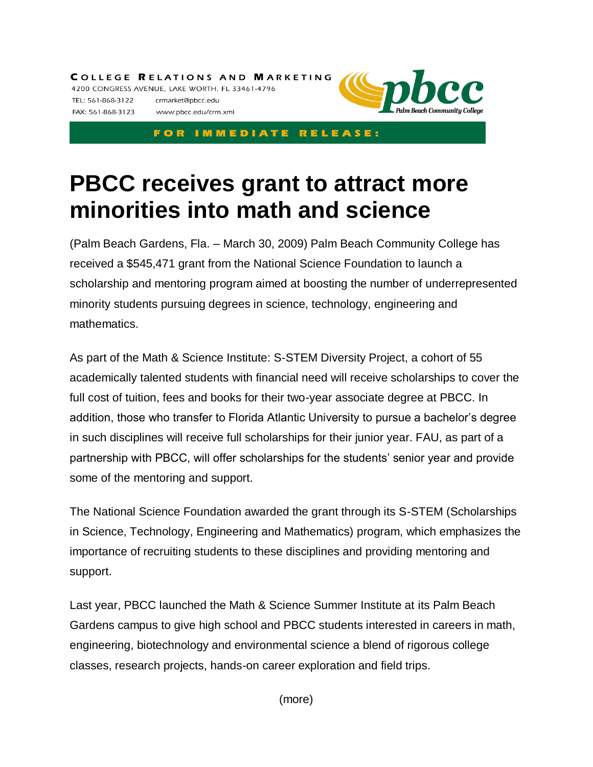COLLEGE RELATIONS AND MARKETING 4200 CONGRESS AVENUE, LAKE WORTH, FL 33461-4796 TEL: 561-868-3122 crmarket@pbcc.edu FAX: 561-868-3123 www.pbcc.edu/crm.xml



FOR IMMEDIATE RELEASE:

## **PBCC receives grant to attract more minorities into math and science**

(Palm Beach Gardens, Fla. – March 30, 2009) Palm Beach Community College has received a \$545,471 grant from the National Science Foundation to launch a scholarship and mentoring program aimed at boosting the number of underrepresented minority students pursuing degrees in science, technology, engineering and mathematics.

As part of the Math & Science Institute: S-STEM Diversity Project, a cohort of 55 academically talented students with financial need will receive scholarships to cover the full cost of tuition, fees and books for their two-year associate degree at PBCC. In addition, those who transfer to Florida Atlantic University to pursue a bachelor's degree in such disciplines will receive full scholarships for their junior year. FAU, as part of a partnership with PBCC, will offer scholarships for the students' senior year and provide some of the mentoring and support.

The National Science Foundation awarded the grant through its S-STEM (Scholarships in Science, Technology, Engineering and Mathematics) program, which emphasizes the importance of recruiting students to these disciplines and providing mentoring and support.

Last year, PBCC launched the Math & Science Summer Institute at its Palm Beach Gardens campus to give high school and PBCC students interested in careers in math, engineering, biotechnology and environmental science a blend of rigorous college classes, research projects, hands-on career exploration and field trips.

(more)